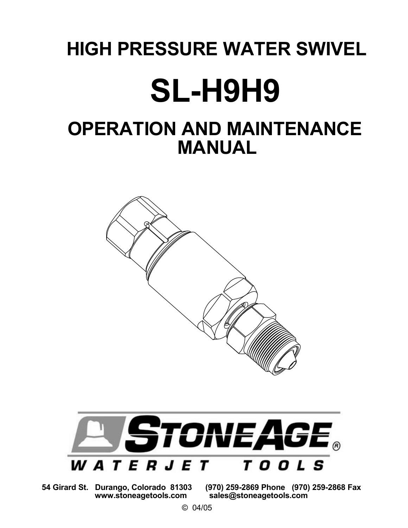# HIGH PRESSURE WATER SWIVEL SL-H9H9

## OPERATION AND MAINTENANCE MANUAL





www.stoneagetools.com sales@stoneagetools.com 54 Girard St. Durango, Colorado 81303 (970) 259-2869 Phone (970) 259-2868 Fax

© 04/05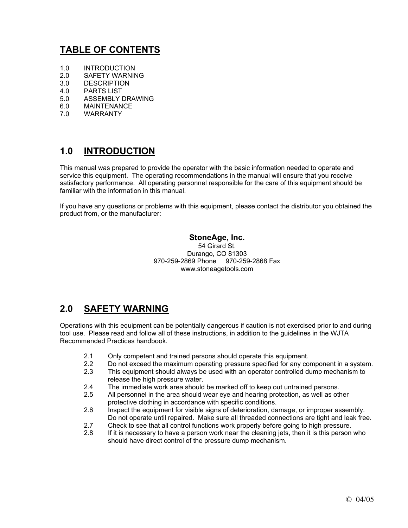## **TABLE OF CONTENTS**

- 1.0 INTRODUCTION
- 2.0 SAFETY WARNING
- 3.0 DESCRIPTION
- 4.0 PARTS LIST
- 5.0 ASSEMBLY DRAWING
- 6.0 MAINTENANCE
- 7.0 WARRANTY

## **1.0 INTRODUCTION**

This manual was prepared to provide the operator with the basic information needed to operate and service this equipment. The operating recommendations in the manual will ensure that you receive satisfactory performance. All operating personnel responsible for the care of this equipment should be familiar with the information in this manual.

If you have any questions or problems with this equipment, please contact the distributor you obtained the product from, or the manufacturer:

#### **StoneAge, Inc.**

54 Girard St. Durango, CO 81303 970-259-2869 Phone 970-259-2868 Fax www.stoneagetools.com

## **2.0 SAFETY WARNING**

Operations with this equipment can be potentially dangerous if caution is not exercised prior to and during tool use. Please read and follow all of these instructions, in addition to the guidelines in the WJTA Recommended Practices handbook.

- 2.1 Only competent and trained persons should operate this equipment.
- 2.2 Do not exceed the maximum operating pressure specified for any component in a system.
- 2.3 This equipment should always be used with an operator controlled dump mechanism to release the high pressure water.
- 2.4 The immediate work area should be marked off to keep out untrained persons.
- 2.5 All personnel in the area should wear eye and hearing protection, as well as other protective clothing in accordance with specific conditions.
- 2.6 Inspect the equipment for visible signs of deterioration, damage, or improper assembly. Do not operate until repaired. Make sure all threaded connections are tight and leak free.
- 2.7 Check to see that all control functions work properly before going to high pressure.
- 2.8 If it is necessary to have a person work near the cleaning jets, then it is this person who should have direct control of the pressure dump mechanism.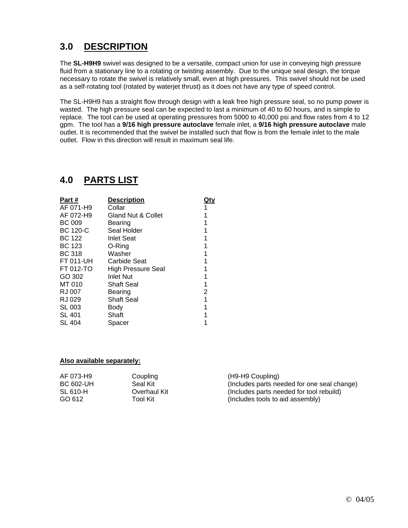## **3.0 DESCRIPTION**

The **SL-H9H9** swivel was designed to be a versatile, compact union for use in conveying high pressure fluid from a stationary line to a rotating or twisting assembly. Due to the unique seal design, the torque necessary to rotate the swivel is relatively small, even at high pressures. This swivel should not be used as a self-rotating tool (rotated by waterjet thrust) as it does not have any type of speed control.

The SL-H9H9 has a straight flow through design with a leak free high pressure seal, so no pump power is wasted. The high pressure seal can be expected to last a minimum of 40 to 60 hours, and is simple to replace. The tool can be used at operating pressures from 5000 to 40,000 psi and flow rates from 4 to 12 gpm. The tool has a **9/16 high pressure autoclave** female inlet, a **9/16 high pressure autoclave** male outlet. It is recommended that the swivel be installed such that flow is from the female inlet to the male outlet. Flow in this direction will result in maximum seal life.

## **4.0 PARTS LIST**

| Part#           | <b>Description</b>            |   |
|-----------------|-------------------------------|---|
| AF 071-H9       | Collar                        |   |
| AF 072-H9       | <b>Gland Nut &amp; Collet</b> |   |
| BC 009          | Bearing                       |   |
| <b>BC 120-C</b> | Seal Holder                   |   |
| <b>BC 122</b>   | <b>Inlet Seat</b>             |   |
| <b>BC 123</b>   | O-Ring                        | 1 |
| <b>BC 318</b>   | Washer                        |   |
| FT 011-UH       | Carbide Seat                  |   |
| FT 012-TO       | <b>High Pressure Seal</b>     |   |
| GO 302          | <b>Inlet Nut</b>              |   |
| MT 010          | <b>Shaft Seal</b>             | 1 |
| RJ 007          | Bearing                       | 2 |
| RJ 029          | <b>Shaft Seal</b>             | 1 |
| <b>SL 003</b>   | Body                          |   |
| <b>SL 401</b>   | Shaft                         |   |
| <b>SL 404</b>   | Spacer                        |   |

#### **Also available separately:**

| AF 073-H9        | Coupling     | (H9-H9 Coupling)                            |
|------------------|--------------|---------------------------------------------|
| <b>BC 602-UH</b> | Seal Kit     | (Includes parts needed for one seal change) |
| SL 610-H         | Overhaul Kit | (Includes parts needed for tool rebuild)    |
| GO 612           | Tool Kit l   | (Includes tools to aid assembly)            |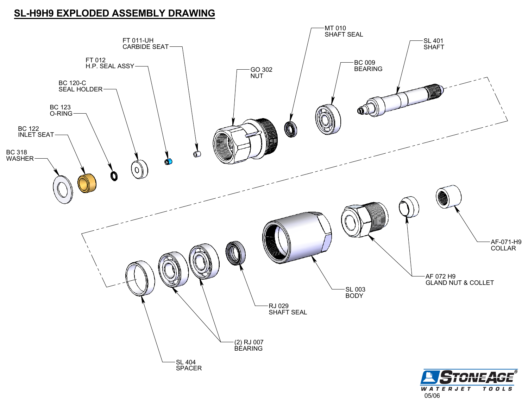### SL-H9H9 EXPLODED ASSEMBLY DRAWING



WATERJET TOOLS 05/06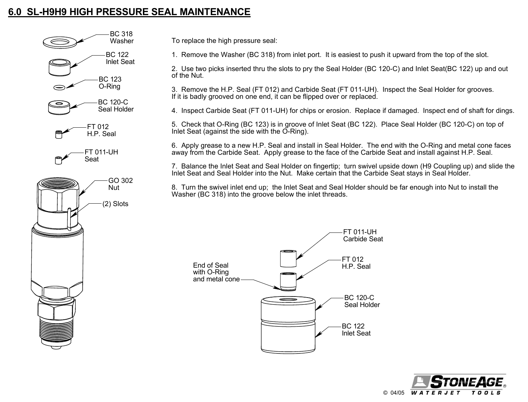## 6.0 SL-H9H9 HIGH PRESSURE SEAL MAINTENANCE



To replace the high pressure seal:

1. Remove the Washer (BC 318) from inlet port. It is easiest to push it upward from the top of the slot.

2. Use two picks inserted thru the slots to pry the Seal Holder (BC 120-C) and Inlet Seat(BC 122) up and out of the Nut.

3. Remove the H.P. Seal (FT 012) and Carbide Seat (FT 011-UH). Inspect the Seal Holder for grooves. If it is badly grooved on one end, it can be flipped over or replaced.

4. Inspect Carbide Seat (FT 011-UH) for chips or erosion. Replace if damaged. Inspect end of shaft for dings.

5. Check that O-Ring (BC 123) is in groove of Inlet Seat (BC 122). Place Seal Holder (BC 120-C) on top of Inlet Seat (against the side with the O-Ring).

6. Apply grease to a new H.P. Seal and install in Seal Holder. The end with the O-Ring and metal cone faces away from the Carbide Seat. Apply grease to the face of the Carbide Seat and install against H.P. Seal.

7. Balance the Inlet Seat and Seal Holder on fingertip; turn swivel upside down (H9 Coupling up) and slide the Inlet Seat and Seal Holder into the Nut. Make certain that the Carbide Seat stays in Seal Holder.

8. Turn the swivel inlet end up; the Inlet Seat and Seal Holder should be far enough into Nut to install the Washer (BC 318) into the groove below the inlet threads.



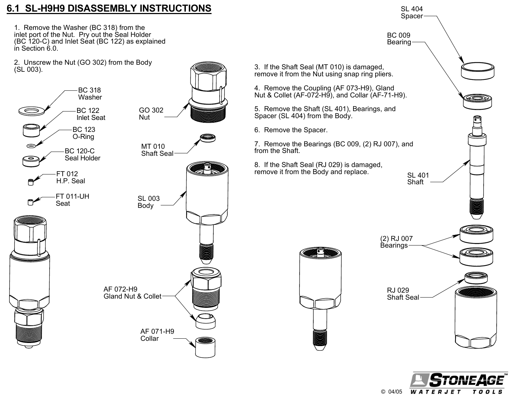## 6.1 SL-H9H9 DISASSEMBLY INSTRUCTIONS

1. Remove the Washer (BC 318) from the inlet port of the Nut. Pry out the Seal Holder (BC 120-C) and Inlet Seat (BC 122) as explained in Section 6.0.

2. Unscrew the Nut (GO 302) from the Body (SL 003).





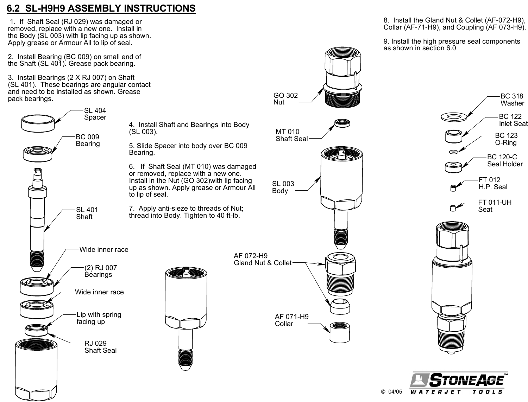## 6.2 SL-H9H9 ASSEMBLY INSTRUCTIONS

 1. If Shaft Seal (RJ 029) was damaged or removed, replace with a new one. Install in the Body (SL 003) with lip facing up as shown. Apply grease or Armour All to lip of seal.

2. Install Bearing (BC 009) on small end of the Shaft (SL 401). Grease pack bearing.

and need to be installed as shown. Grease pack bearings. 3. Install Bearings (2 X RJ 007) on Shaft (SL 401). These bearings are angular contact



GO 302

8. Install the Gland Nut & Collet (AF-072-H9), Collar (AF-71-H9), and Coupling (AF 073-H9).

9. Install the high pressure seal components as shown in section 6.0